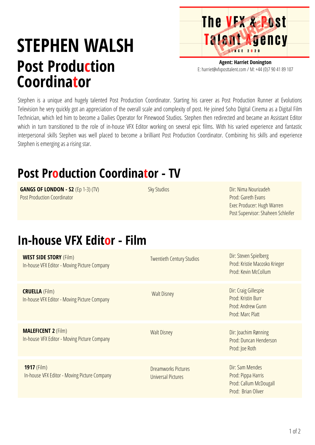## **STEPHEN WALSH Post Production Coordinator**

**Agent: Harriet Donington** E: harriet@vfxposttalent.com / M:+44(0)7904189107

**The VFX & Post** 

Talent Agency

Stephen is a unique and hugely talented Post Production Coordinator. Starting his career as Post Production Runner at Evolutions Television he very quickly got an appreciation of the overall scale and complexity of post. He joined Soho Digital Cinema as a Digital Film Technician, which led him to become a Dailies Operator for Pinewood Studios. Stephen then redirected and became an Assistant Editor which in turn transitioned to the role of in-house VFX Editor working on several epic films. With his varied experience and fantastic interpersonal skills Stephen was well placed to become a brilliant Post Production Coordinator. Combining his skills and experience Stephen is emerging as a rising star.

## **Post Production Coordinator - TV**

**GANGS OF LONDON - S2** (Ep 1-3) (TV) Post Production Coordinator

**Sky Studios** 

Dir: Nima Nourizadeh Prod: Gareth Evans Exec Producer: Hugh Warren Post Supervisor: Shaheen Schleifer

## **In-house VFX Editor - Film**

| <b>WEST SIDE STORY (Film)</b><br>In-house VFX Editor - Moving Picture Company | <b>Twentieth Century Studios</b>                 | Dir: Steven Spielberg<br>Prod: Kristie Macosko Krieger<br>Prod: Kevin McCollum        |
|-------------------------------------------------------------------------------|--------------------------------------------------|---------------------------------------------------------------------------------------|
| <b>CRUELLA (Film)</b><br>In-house VFX Editor - Moving Picture Company         | <b>Walt Disney</b>                               | Dir: Craig Gillespie<br>Prod: Kristin Burr<br>Prod: Andrew Gunn<br>Prod: Marc Platt   |
| <b>MALEFICENT 2 (Film)</b><br>In-house VFX Editor - Moving Picture Company    | <b>Walt Disney</b>                               | Dir: Joachim Rønning<br>Prod: Duncan Henderson<br>Prod: Joe Roth                      |
| 1917 (Film)<br>In-house VFX Editor - Moving Picture Company                   | <b>Dreamworks Pictures</b><br>Universal Pictures | Dir: Sam Mendes<br>Prod: Pippa Harris<br>Prod: Callum McDougall<br>Prod: Brian Oliver |